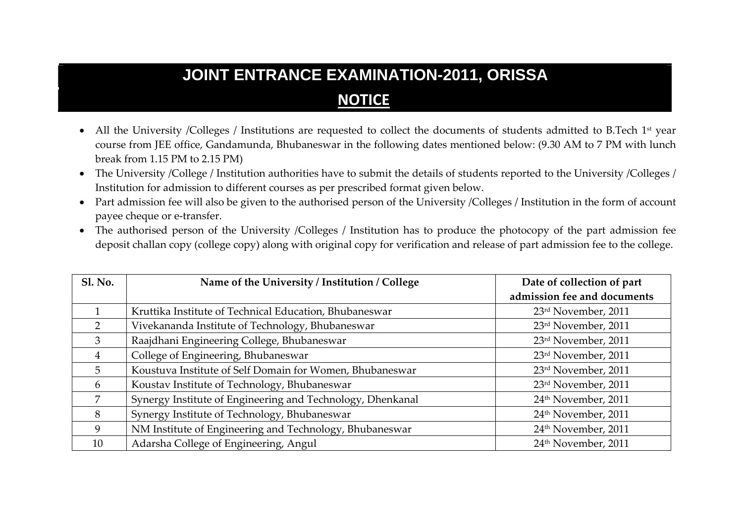## **JOINT ENTRANCE EXAMINATION-2011, ORISSA NOTICE**

- All the University /Colleges / Institutions are requested to collect the documents of students admitted to B.Tech 1st year course from JEE office, Gandamunda, Bhubaneswar in the following dates mentioned below: (9.30 AM to 7 PM with lunch break from 1.15 PM to 2.15 PM)
- The University /College / Institution authorities have to submit the details of students reported to the University /Colleges / Institution for admission to different courses as per prescribed format given below.
- Part admission fee will also be given to the authorised person of the University /Colleges / Institution in the form of account payee cheque or <sup>e</sup>‐transfer.
- The authorised person of the University /Colleges / Institution has to produce the photocopy of the par<sup>t</sup> admission fee deposit challan copy (college copy) along with original copy for verification and release of par<sup>t</sup> admission fee to the college.

| <b>Sl. No.</b> | Name of the University / Institution / College             | Date of collection of part      |
|----------------|------------------------------------------------------------|---------------------------------|
|                |                                                            | admission fee and documents     |
|                | Kruttika Institute of Technical Education, Bhubaneswar     | 23rd November, 2011             |
| $\mathcal{P}$  | Vivekananda Institute of Technology, Bhubaneswar           | 23rd November, 2011             |
| 3              | Raajdhani Engineering College, Bhubaneswar                 | 23rd November, 2011             |
| 4              | College of Engineering, Bhubaneswar                        | 23rd November, 2011             |
| 5              | Koustuva Institute of Self Domain for Women, Bhubaneswar   | 23rd November, 2011             |
| 6              | Koustav Institute of Technology, Bhubaneswar               | 23rd November, 2011             |
| 7              | Synergy Institute of Engineering and Technology, Dhenkanal | 24 <sup>th</sup> November, 2011 |
| 8              | Synergy Institute of Technology, Bhubaneswar               | 24 <sup>th</sup> November, 2011 |
| 9              | NM Institute of Engineering and Technology, Bhubaneswar    | 24 <sup>th</sup> November, 2011 |
| 10             | Adarsha College of Engineering, Angul                      | 24 <sup>th</sup> November, 2011 |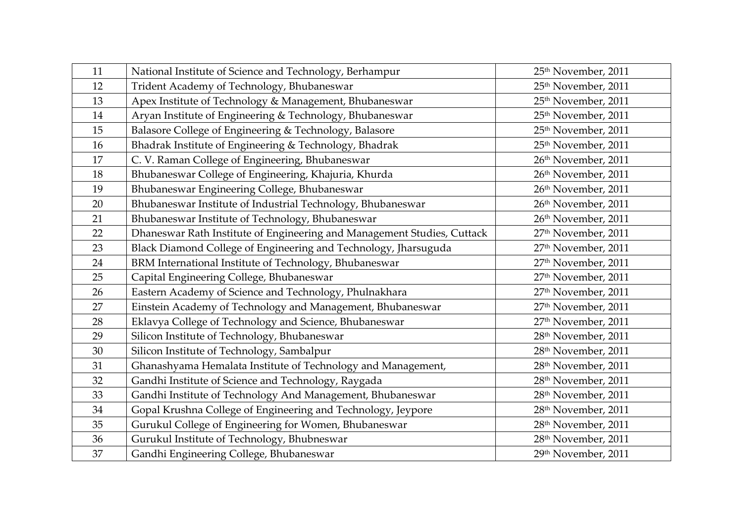| 11 | National Institute of Science and Technology, Berhampur                 | 25 <sup>th</sup> November, 2011 |
|----|-------------------------------------------------------------------------|---------------------------------|
| 12 | Trident Academy of Technology, Bhubaneswar                              | 25 <sup>th</sup> November, 2011 |
| 13 | Apex Institute of Technology & Management, Bhubaneswar                  | 25 <sup>th</sup> November, 2011 |
| 14 | Aryan Institute of Engineering & Technology, Bhubaneswar                | 25 <sup>th</sup> November, 2011 |
| 15 | Balasore College of Engineering & Technology, Balasore                  | 25 <sup>th</sup> November, 2011 |
| 16 | Bhadrak Institute of Engineering & Technology, Bhadrak                  | 25 <sup>th</sup> November, 2011 |
| 17 | C. V. Raman College of Engineering, Bhubaneswar                         | 26th November, 2011             |
| 18 | Bhubaneswar College of Engineering, Khajuria, Khurda                    | 26th November, 2011             |
| 19 | Bhubaneswar Engineering College, Bhubaneswar                            | 26th November, 2011             |
| 20 | Bhubaneswar Institute of Industrial Technology, Bhubaneswar             | 26th November, 2011             |
| 21 | Bhubaneswar Institute of Technology, Bhubaneswar                        | 26th November, 2011             |
| 22 | Dhaneswar Rath Institute of Engineering and Management Studies, Cuttack | 27 <sup>th</sup> November, 2011 |
| 23 | Black Diamond College of Engineering and Technology, Jharsuguda         | 27 <sup>th</sup> November, 2011 |
| 24 | BRM International Institute of Technology, Bhubaneswar                  | 27 <sup>th</sup> November, 2011 |
| 25 | Capital Engineering College, Bhubaneswar                                | 27 <sup>th</sup> November, 2011 |
| 26 | Eastern Academy of Science and Technology, Phulnakhara                  | 27 <sup>th</sup> November, 2011 |
| 27 | Einstein Academy of Technology and Management, Bhubaneswar              | 27 <sup>th</sup> November, 2011 |
| 28 | Eklavya College of Technology and Science, Bhubaneswar                  | 27 <sup>th</sup> November, 2011 |
| 29 | Silicon Institute of Technology, Bhubaneswar                            | 28 <sup>th</sup> November, 2011 |
| 30 | Silicon Institute of Technology, Sambalpur                              | 28 <sup>th</sup> November, 2011 |
| 31 | Ghanashyama Hemalata Institute of Technology and Management,            | 28 <sup>th</sup> November, 2011 |
| 32 | Gandhi Institute of Science and Technology, Raygada                     | 28 <sup>th</sup> November, 2011 |
| 33 | Gandhi Institute of Technology And Management, Bhubaneswar              | 28 <sup>th</sup> November, 2011 |
| 34 | Gopal Krushna College of Engineering and Technology, Jeypore            | 28 <sup>th</sup> November, 2011 |
| 35 | Gurukul College of Engineering for Women, Bhubaneswar                   | 28 <sup>th</sup> November, 2011 |
| 36 | Gurukul Institute of Technology, Bhubneswar                             | 28 <sup>th</sup> November, 2011 |
| 37 | Gandhi Engineering College, Bhubaneswar                                 | 29th November, 2011             |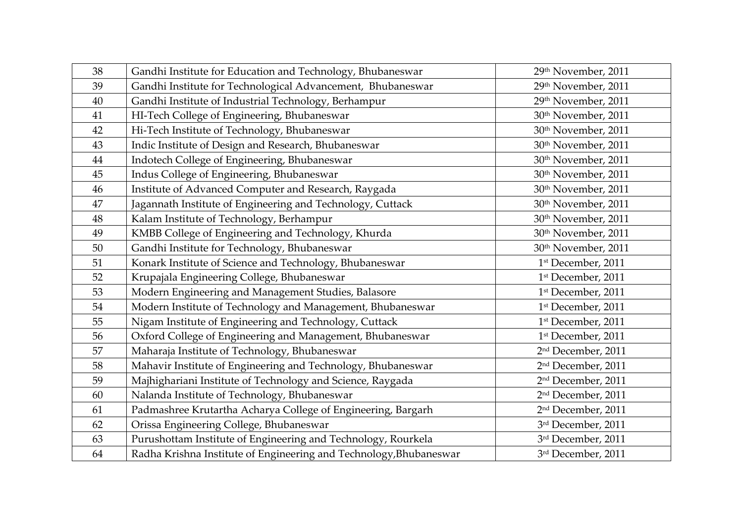| 38 | Gandhi Institute for Education and Technology, Bhubaneswar         | 29th November, 2011             |
|----|--------------------------------------------------------------------|---------------------------------|
| 39 | Gandhi Institute for Technological Advancement, Bhubaneswar        | 29th November, 2011             |
| 40 | Gandhi Institute of Industrial Technology, Berhampur               | 29th November, 2011             |
| 41 | HI-Tech College of Engineering, Bhubaneswar                        | 30 <sup>th</sup> November, 2011 |
| 42 | Hi-Tech Institute of Technology, Bhubaneswar                       | 30 <sup>th</sup> November, 2011 |
| 43 | Indic Institute of Design and Research, Bhubaneswar                | 30 <sup>th</sup> November, 2011 |
| 44 | Indotech College of Engineering, Bhubaneswar                       | 30 <sup>th</sup> November, 2011 |
| 45 | Indus College of Engineering, Bhubaneswar                          | 30 <sup>th</sup> November, 2011 |
| 46 | Institute of Advanced Computer and Research, Raygada               | 30th November, 2011             |
| 47 | Jagannath Institute of Engineering and Technology, Cuttack         | 30 <sup>th</sup> November, 2011 |
| 48 | Kalam Institute of Technology, Berhampur                           | 30 <sup>th</sup> November, 2011 |
| 49 | KMBB College of Engineering and Technology, Khurda                 | 30 <sup>th</sup> November, 2011 |
| 50 | Gandhi Institute for Technology, Bhubaneswar                       | 30 <sup>th</sup> November, 2011 |
| 51 | Konark Institute of Science and Technology, Bhubaneswar            | 1st December, 2011              |
| 52 | Krupajala Engineering College, Bhubaneswar                         | 1st December, 2011              |
| 53 | Modern Engineering and Management Studies, Balasore                | 1st December, 2011              |
| 54 | Modern Institute of Technology and Management, Bhubaneswar         | 1st December, 2011              |
| 55 | Nigam Institute of Engineering and Technology, Cuttack             | 1st December, 2011              |
| 56 | Oxford College of Engineering and Management, Bhubaneswar          | 1st December, 2011              |
| 57 | Maharaja Institute of Technology, Bhubaneswar                      | 2 <sup>nd</sup> December, 2011  |
| 58 | Mahavir Institute of Engineering and Technology, Bhubaneswar       | 2 <sup>nd</sup> December, 2011  |
| 59 | Majhighariani Institute of Technology and Science, Raygada         | 2 <sup>nd</sup> December, 2011  |
| 60 | Nalanda Institute of Technology, Bhubaneswar                       | 2 <sup>nd</sup> December, 2011  |
| 61 | Padmashree Krutartha Acharya College of Engineering, Bargarh       | 2 <sup>nd</sup> December, 2011  |
| 62 | Orissa Engineering College, Bhubaneswar                            | 3rd December, 2011              |
| 63 | Purushottam Institute of Engineering and Technology, Rourkela      | 3rd December, 2011              |
| 64 | Radha Krishna Institute of Engineering and Technology, Bhubaneswar | 3rd December, 2011              |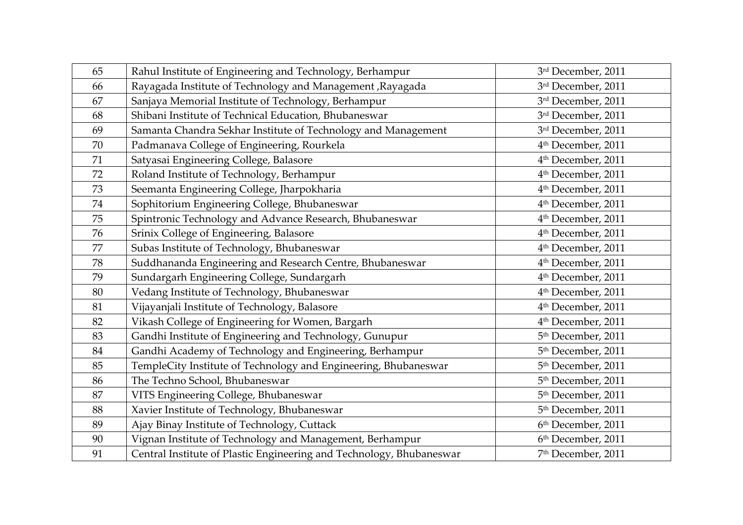| 65 | Rahul Institute of Engineering and Technology, Berhampur             | 3rd December, 2011             |
|----|----------------------------------------------------------------------|--------------------------------|
| 66 | Rayagada Institute of Technology and Management , Rayagada           | 3rd December, 2011             |
| 67 | Sanjaya Memorial Institute of Technology, Berhampur                  | 3rd December, 2011             |
| 68 | Shibani Institute of Technical Education, Bhubaneswar                | 3rd December, 2011             |
| 69 | Samanta Chandra Sekhar Institute of Technology and Management        | 3rd December, 2011             |
| 70 | Padmanava College of Engineering, Rourkela                           | 4 <sup>th</sup> December, 2011 |
| 71 | Satyasai Engineering College, Balasore                               | 4 <sup>th</sup> December, 2011 |
| 72 | Roland Institute of Technology, Berhampur                            | 4 <sup>th</sup> December, 2011 |
| 73 | Seemanta Engineering College, Jharpokharia                           | 4 <sup>th</sup> December, 2011 |
| 74 | Sophitorium Engineering College, Bhubaneswar                         | 4 <sup>th</sup> December, 2011 |
| 75 | Spintronic Technology and Advance Research, Bhubaneswar              | 4 <sup>th</sup> December, 2011 |
| 76 | Srinix College of Engineering, Balasore                              | 4 <sup>th</sup> December, 2011 |
| 77 | Subas Institute of Technology, Bhubaneswar                           | 4 <sup>th</sup> December, 2011 |
| 78 | Suddhananda Engineering and Research Centre, Bhubaneswar             | 4 <sup>th</sup> December, 2011 |
| 79 | Sundargarh Engineering College, Sundargarh                           | 4 <sup>th</sup> December, 2011 |
| 80 | Vedang Institute of Technology, Bhubaneswar                          | 4 <sup>th</sup> December, 2011 |
| 81 | Vijayanjali Institute of Technology, Balasore                        | 4 <sup>th</sup> December, 2011 |
| 82 | Vikash College of Engineering for Women, Bargarh                     | 4 <sup>th</sup> December, 2011 |
| 83 | Gandhi Institute of Engineering and Technology, Gunupur              | 5 <sup>th</sup> December, 2011 |
| 84 | Gandhi Academy of Technology and Engineering, Berhampur              | 5 <sup>th</sup> December, 2011 |
| 85 | TempleCity Institute of Technology and Engineering, Bhubaneswar      | 5 <sup>th</sup> December, 2011 |
| 86 | The Techno School, Bhubaneswar                                       | 5 <sup>th</sup> December, 2011 |
| 87 | VITS Engineering College, Bhubaneswar                                | 5 <sup>th</sup> December, 2011 |
| 88 | Xavier Institute of Technology, Bhubaneswar                          | 5 <sup>th</sup> December, 2011 |
| 89 | Ajay Binay Institute of Technology, Cuttack                          | 6th December, 2011             |
| 90 | Vignan Institute of Technology and Management, Berhampur             | 6th December, 2011             |
| 91 | Central Institute of Plastic Engineering and Technology, Bhubaneswar | 7 <sup>th</sup> December, 2011 |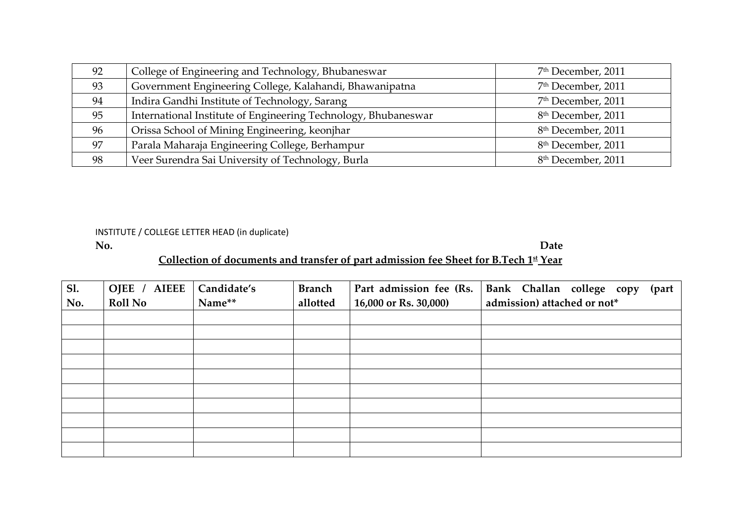| 92 | College of Engineering and Technology, Bhubaneswar             | 7 <sup>th</sup> December, 2011 |
|----|----------------------------------------------------------------|--------------------------------|
| 93 | Government Engineering College, Kalahandi, Bhawanipatna        | 7 <sup>th</sup> December, 2011 |
| 94 | Indira Gandhi Institute of Technology, Sarang                  | 7 <sup>th</sup> December, 2011 |
| 95 | International Institute of Engineering Technology, Bhubaneswar | 8 <sup>th</sup> December, 2011 |
| 96 | Orissa School of Mining Engineering, keonjhar                  | 8 <sup>th</sup> December, 2011 |
| 97 | Parala Maharaja Engineering College, Berhampur                 | 8 <sup>th</sup> December, 2011 |
| 98 | Veer Surendra Sai University of Technology, Burla              | 8 <sup>th</sup> December, 2011 |

INSTITUTE / COLLEGE LETTER HEAD (in duplicate)

**No. Date**Date **Collection of documents and transfer of par<sup>t</sup> admission fee Sheet for B.Tech 1st Year**

| Sl. | <b>AIEEE</b><br>OJEE / | Candidate's | <b>Branch</b> | Part admission fee (Rs. | Bank Challan college copy<br>(part |
|-----|------------------------|-------------|---------------|-------------------------|------------------------------------|
| No. | <b>Roll No</b>         | Name**      | allotted      | 16,000 or Rs. 30,000)   | admission) attached or not*        |
|     |                        |             |               |                         |                                    |
|     |                        |             |               |                         |                                    |
|     |                        |             |               |                         |                                    |
|     |                        |             |               |                         |                                    |
|     |                        |             |               |                         |                                    |
|     |                        |             |               |                         |                                    |
|     |                        |             |               |                         |                                    |
|     |                        |             |               |                         |                                    |
|     |                        |             |               |                         |                                    |
|     |                        |             |               |                         |                                    |